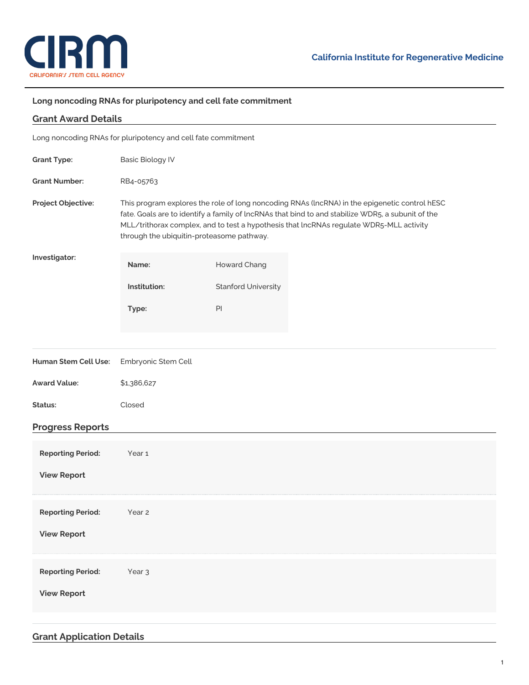

## **Long noncoding RNAs for pluripotency and cell fate commitment**

| <b>Grant Award Details</b>                                    |                                                                                                                                                                                                                                                                                                                                            |                            |  |  |
|---------------------------------------------------------------|--------------------------------------------------------------------------------------------------------------------------------------------------------------------------------------------------------------------------------------------------------------------------------------------------------------------------------------------|----------------------------|--|--|
| Long noncoding RNAs for pluripotency and cell fate commitment |                                                                                                                                                                                                                                                                                                                                            |                            |  |  |
| <b>Grant Type:</b>                                            | <b>Basic Biology IV</b>                                                                                                                                                                                                                                                                                                                    |                            |  |  |
| <b>Grant Number:</b>                                          | RB4-05763                                                                                                                                                                                                                                                                                                                                  |                            |  |  |
| Project Objective:                                            | This program explores the role of long noncoding RNAs (IncRNA) in the epigenetic control hESC<br>fate. Goals are to identify a family of lncRNAs that bind to and stabilize WDR5, a subunit of the<br>MLL/trithorax complex, and to test a hypothesis that lncRNAs regulate WDR5-MLL activity<br>through the ubiquitin-proteasome pathway. |                            |  |  |
| Investigator:                                                 | Name:                                                                                                                                                                                                                                                                                                                                      | Howard Chang               |  |  |
|                                                               | Institution:                                                                                                                                                                                                                                                                                                                               | <b>Stanford University</b> |  |  |
|                                                               | Type:                                                                                                                                                                                                                                                                                                                                      | $\mathsf{Pl}$              |  |  |
|                                                               |                                                                                                                                                                                                                                                                                                                                            |                            |  |  |
| Human Stem Cell Use:                                          | Embryonic Stem Cell                                                                                                                                                                                                                                                                                                                        |                            |  |  |
| <b>Award Value:</b>                                           | \$1,386,627                                                                                                                                                                                                                                                                                                                                |                            |  |  |
| Status:                                                       | Closed                                                                                                                                                                                                                                                                                                                                     |                            |  |  |
| <b>Progress Reports</b>                                       |                                                                                                                                                                                                                                                                                                                                            |                            |  |  |
| <b>Reporting Period:</b>                                      | Year 1                                                                                                                                                                                                                                                                                                                                     |                            |  |  |
| <b>View Report</b>                                            |                                                                                                                                                                                                                                                                                                                                            |                            |  |  |
| <b>Reporting Period:</b>                                      | Year 2                                                                                                                                                                                                                                                                                                                                     |                            |  |  |
| <b>View Report</b>                                            |                                                                                                                                                                                                                                                                                                                                            |                            |  |  |
| <b>Reporting Period:</b>                                      | Year <sub>3</sub>                                                                                                                                                                                                                                                                                                                          |                            |  |  |
| <b>View Report</b>                                            |                                                                                                                                                                                                                                                                                                                                            |                            |  |  |
|                                                               |                                                                                                                                                                                                                                                                                                                                            |                            |  |  |

## **Grant Application Details**